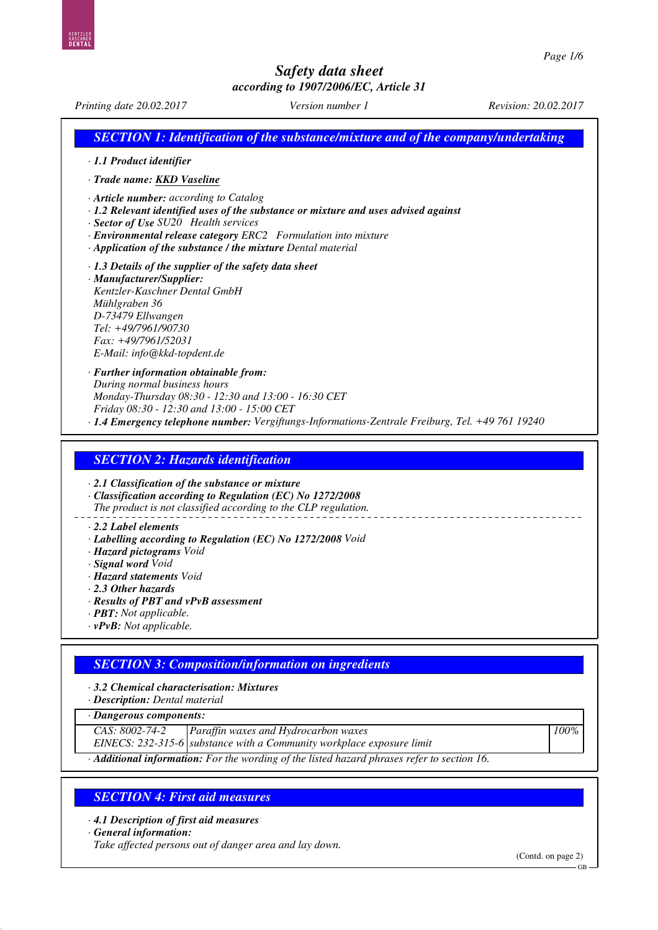*Printing date 20.02.2017 Version number 1 Revision: 20.02.2017 SECTION 1: Identification of the substance/mixture and of the company/undertaking · 1.1 Product identifier · Trade name: KKD Vaseline · Article number: according to Catalog · 1.2 Relevant identified uses of the substance or mixture and uses advised against · Sector of Use SU20 Health services · Environmental release category ERC2 Formulation into mixture · Application of the substance / the mixture Dental material · 1.3 Details of the supplier of the safety data sheet · Manufacturer/Supplier: Kentzler-Kaschner Dental GmbH Mühlgraben 36 D-73479 Ellwangen Tel: +49/7961/90730 Fax: +49/7961/52031 E-Mail: info@kkd-topdent.de · Further information obtainable from: During normal business hours Monday-Thursday 08:30 - 12:30 and 13:00 - 16:30 CET Friday 08:30 - 12:30 and 13:00 - 15:00 CET · 1.4 Emergency telephone number: Vergiftungs-Informations-Zentrale Freiburg, Tel. +49 761 19240 SECTION 2: Hazards identification · 2.1 Classification of the substance or mixture · Classification according to Regulation (EC) No 1272/2008 The product is not classified according to the CLP regulation. · 2.2 Label elements · Labelling according to Regulation (EC) No 1272/2008 Void · Hazard pictograms Void · Signal word Void · Hazard statements Void · 2.3 Other hazards · Results of PBT and vPvB assessment*

- *· PBT: Not applicable.*
- *· vPvB: Not applicable.*

# *SECTION 3: Composition/information on ingredients*

- *· 3.2 Chemical characterisation: Mixtures*
- *· Description: Dental material*

*· Dangerous components:*

*CAS: 8002-74-2 Paraffin waxes and Hydrocarbon waxes*

*EINECS: 232-315-6 substance with a Community workplace exposure limit*

*· Additional information: For the wording of the listed hazard phrases refer to section 16.*

## *SECTION 4: First aid measures*

*· 4.1 Description of first aid measures*

*· General information:*

*Take affected persons out of danger area and lay down.*

(Contd. on page 2)

*100%*

GB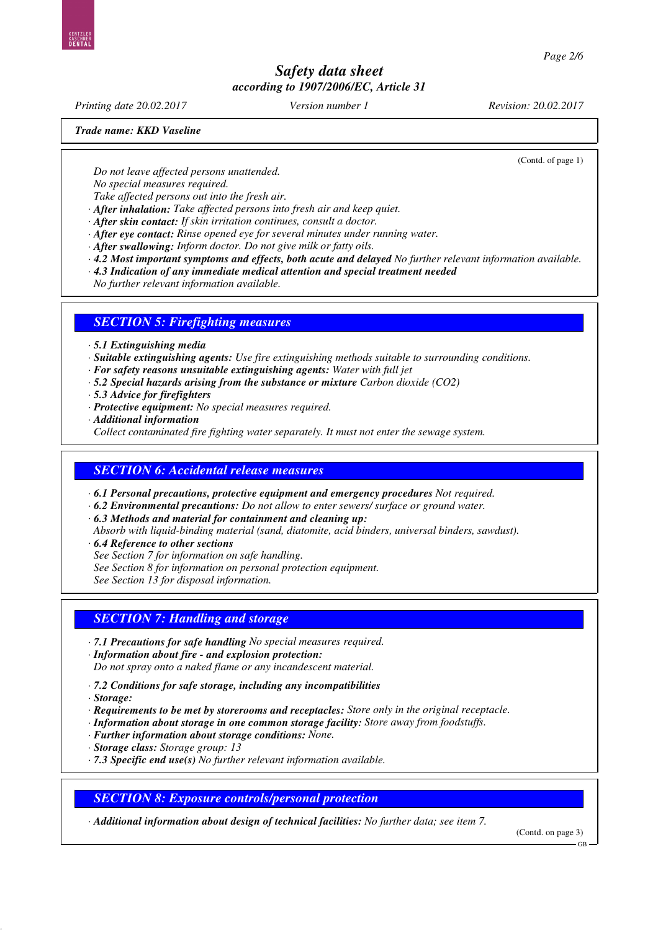*Printing date 20.02.2017 Version number 1 Revision: 20.02.2017*

*Trade name: KKD Vaseline*

(Contd. of page 1)

*Do not leave affected persons unattended.*

*No special measures required.*

*Take affected persons out into the fresh air. · After inhalation: Take affected persons into fresh air and keep quiet.*

- *· After skin contact: If skin irritation continues, consult a doctor.*
- *· After eye contact: Rinse opened eye for several minutes under running water.*

*· After swallowing: Inform doctor. Do not give milk or fatty oils.*

*· 4.2 Most important symptoms and effects, both acute and delayed No further relevant information available.*

*· 4.3 Indication of any immediate medical attention and special treatment needed*

*No further relevant information available.*

### *SECTION 5: Firefighting measures*

- *· 5.1 Extinguishing media*
- *· Suitable extinguishing agents: Use fire extinguishing methods suitable to surrounding conditions.*
- *· For safety reasons unsuitable extinguishing agents: Water with full jet*
- *· 5.2 Special hazards arising from the substance or mixture Carbon dioxide (CO2)*
- *· 5.3 Advice for firefighters*
- *· Protective equipment: No special measures required.*
- *· Additional information*

*Collect contaminated fire fighting water separately. It must not enter the sewage system.*

## *SECTION 6: Accidental release measures*

*· 6.1 Personal precautions, protective equipment and emergency procedures Not required.*

- *· 6.2 Environmental precautions: Do not allow to enter sewers/ surface or ground water.*
- *· 6.3 Methods and material for containment and cleaning up:*

*Absorb with liquid-binding material (sand, diatomite, acid binders, universal binders, sawdust).*

*· 6.4 Reference to other sections See Section 7 for information on safe handling. See Section 8 for information on personal protection equipment. See Section 13 for disposal information.*

### *SECTION 7: Handling and storage*

- *· 7.1 Precautions for safe handling No special measures required.*
- *· Information about fire and explosion protection: Do not spray onto a naked flame or any incandescent material.*
- *· 7.2 Conditions for safe storage, including any incompatibilities*
- *· Storage:*
- *· Requirements to be met by storerooms and receptacles: Store only in the original receptacle.*
- *· Information about storage in one common storage facility: Store away from foodstuffs.*
- *· Further information about storage conditions: None.*
- *· Storage class: Storage group: 13*
- *· 7.3 Specific end use(s) No further relevant information available.*

*SECTION 8: Exposure controls/personal protection*

*· Additional information about design of technical facilities: No further data; see item 7.*

(Contd. on page 3)

GB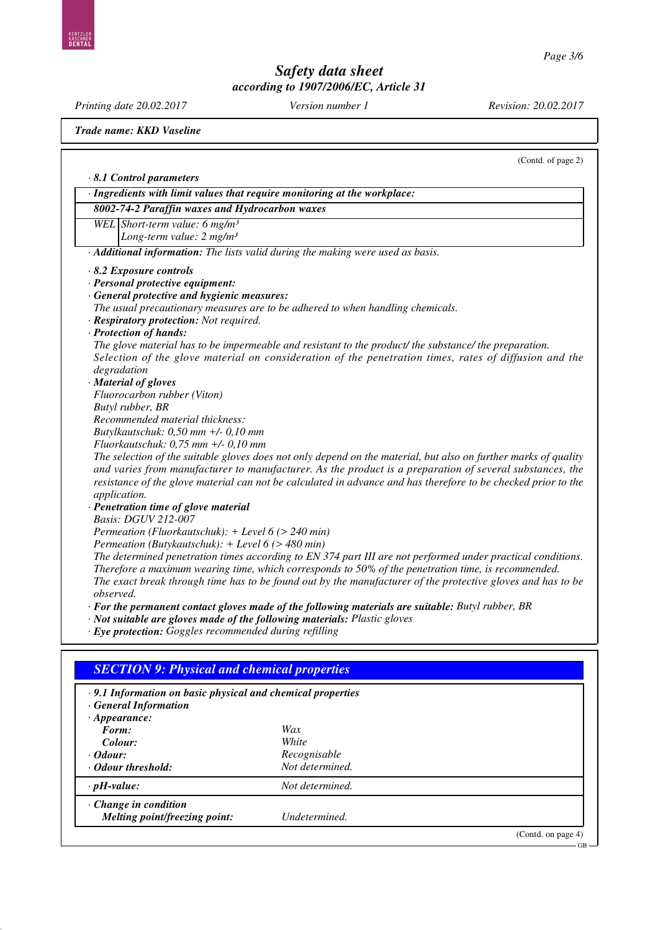*Printing date 20.02.2017 Version number 1 Revision: 20.02.2017 Trade name: KKD Vaseline* (Contd. of page 2) *· 8.1 Control parameters · Ingredients with limit values that require monitoring at the workplace: 8002-74-2 Paraffin waxes and Hydrocarbon waxes WEL Short-term value: 6 mg/m³ Long-term value: 2 mg/m³ · Additional information: The lists valid during the making were used as basis. · 8.2 Exposure controls · Personal protective equipment: · General protective and hygienic measures: The usual precautionary measures are to be adhered to when handling chemicals. · Respiratory protection: Not required. · Protection of hands: The glove material has to be impermeable and resistant to the product/ the substance/ the preparation. Selection of the glove material on consideration of the penetration times, rates of diffusion and the degradation · Material of gloves Fluorocarbon rubber (Viton) Butyl rubber, BR Recommended material thickness: Butylkautschuk: 0,50 mm +/- 0,10 mm Fluorkautschuk: 0,75 mm +/- 0,10 mm The selection of the suitable gloves does not only depend on the material, but also on further marks of quality and varies from manufacturer to manufacturer. As the product is a preparation of several substances, the resistance of the glove material can not be calculated in advance and has therefore to be checked prior to the application. · Penetration time of glove material Basis: DGUV 212-007 Permeation (Fluorkautschuk): + Level 6 (> 240 min) Permeation (Butykautschuk): + Level 6 (> 480 min) The determined penetration times according to EN 374 part III are not performed under practical conditions. Therefore a maximum wearing time, which corresponds to 50% of the penetration time, is recommended. The exact break through time has to be found out by the manufacturer of the protective gloves and has to be observed. · For the permanent contact gloves made of the following materials are suitable: Butyl rubber, BR · Not suitable are gloves made of the following materials: Plastic gloves*

*· Eye protection: Goggles recommended during refilling*

| $\cdot$ 9.1 Information on basic physical and chemical properties<br>$\cdot$ General Information |                 |  |
|--------------------------------------------------------------------------------------------------|-----------------|--|
| $\cdot$ Appearance:                                                                              |                 |  |
| Form:                                                                                            | Wax             |  |
| Colour:                                                                                          | White           |  |
| $\cdot$ Odour:                                                                                   | Recognisable    |  |
| • Odour threshold:                                                                               | Not determined. |  |
| $\cdot$ pH-value:                                                                                | Not determined. |  |
| $\cdot$ Change in condition                                                                      |                 |  |
| Melting point/freezing point:                                                                    | Undetermined.   |  |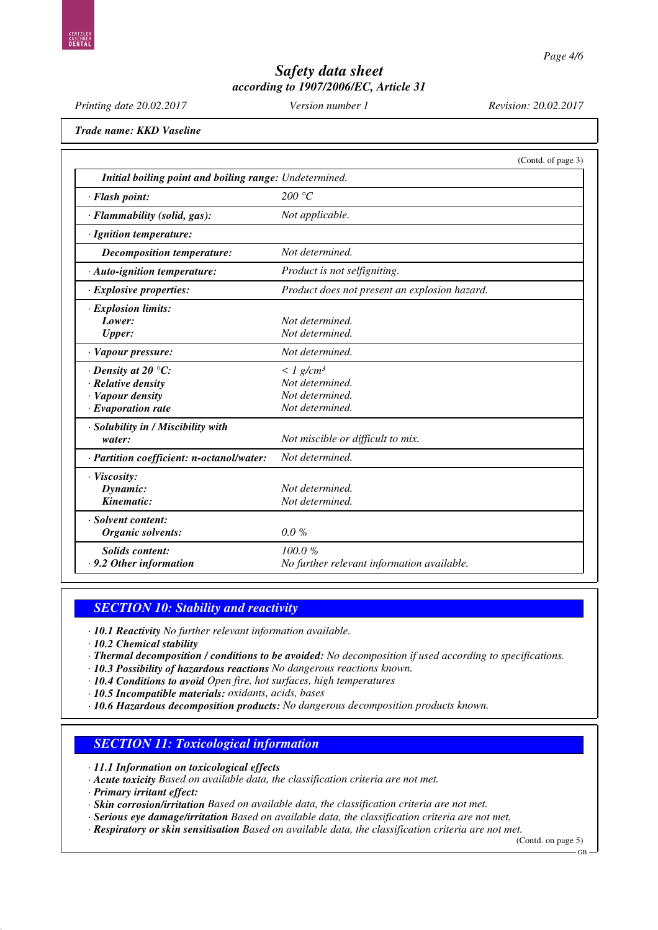| Printing date 20.02.2017                                                                        | Version number 1                                                                       | Revision: 20.02.2017 |
|-------------------------------------------------------------------------------------------------|----------------------------------------------------------------------------------------|----------------------|
| Trade name: KKD Vaseline                                                                        |                                                                                        |                      |
|                                                                                                 |                                                                                        | (Contd. of page 3)   |
| Initial boiling point and boiling range: Undetermined.                                          |                                                                                        |                      |
| · Flash point:                                                                                  | 200 °C                                                                                 |                      |
| · Flammability (solid, gas):                                                                    | Not applicable.                                                                        |                      |
| · Ignition temperature:                                                                         |                                                                                        |                      |
| Decomposition temperature:                                                                      | Not determined.                                                                        |                      |
| · Auto-ignition temperature:                                                                    | Product is not selfigniting.                                                           |                      |
| · Explosive properties:                                                                         | Product does not present an explosion hazard.                                          |                      |
| · Explosion limits:<br>Lower:<br><b>Upper:</b>                                                  | Not determined.<br>Not determined.                                                     |                      |
| · Vapour pressure:                                                                              | Not determined.                                                                        |                      |
| $\cdot$ Density at 20 °C:<br>· Relative density<br>· Vapour density<br>$\cdot$ Evaporation rate | $\langle$ 1 g/cm <sup>3</sup><br>Not determined.<br>Not determined.<br>Not determined. |                      |
| · Solubility in / Miscibility with<br>water:                                                    | Not miscible or difficult to mix.                                                      |                      |
| · Partition coefficient: n-octanol/water:                                                       | Not determined.                                                                        |                      |
| · Viscosity:<br>Dynamic:<br>Kinematic:                                                          | Not determined.<br>Not determined.                                                     |                      |
| · Solvent content:<br><b>Organic solvents:</b>                                                  | $0.0 \%$                                                                               |                      |
| <b>Solids content:</b><br>$\cdot$ 9.2 Other information                                         | 100.0%<br>No further relevant information available.                                   |                      |

### *SECTION 10: Stability and reactivity*

*· 10.1 Reactivity No further relevant information available.*

*· 10.2 Chemical stability*

- *· Thermal decomposition / conditions to be avoided: No decomposition if used according to specifications.*
- *· 10.3 Possibility of hazardous reactions No dangerous reactions known.*
- *· 10.4 Conditions to avoid Open fire, hot surfaces, high temperatures*
- *· 10.5 Incompatible materials: oxidants, acids, bases*
- *· 10.6 Hazardous decomposition products: No dangerous decomposition products known.*

### *SECTION 11: Toxicological information*

*· 11.1 Information on toxicological effects*

*· Acute toxicity Based on available data, the classification criteria are not met.*

*· Primary irritant effect:*

*· Skin corrosion/irritation Based on available data, the classification criteria are not met.*

*· Serious eye damage/irritation Based on available data, the classification criteria are not met.*

*· Respiratory or skin sensitisation Based on available data, the classification criteria are not met.*

(Contd. on page 5)

GB

KASCHNI<br>**Denta**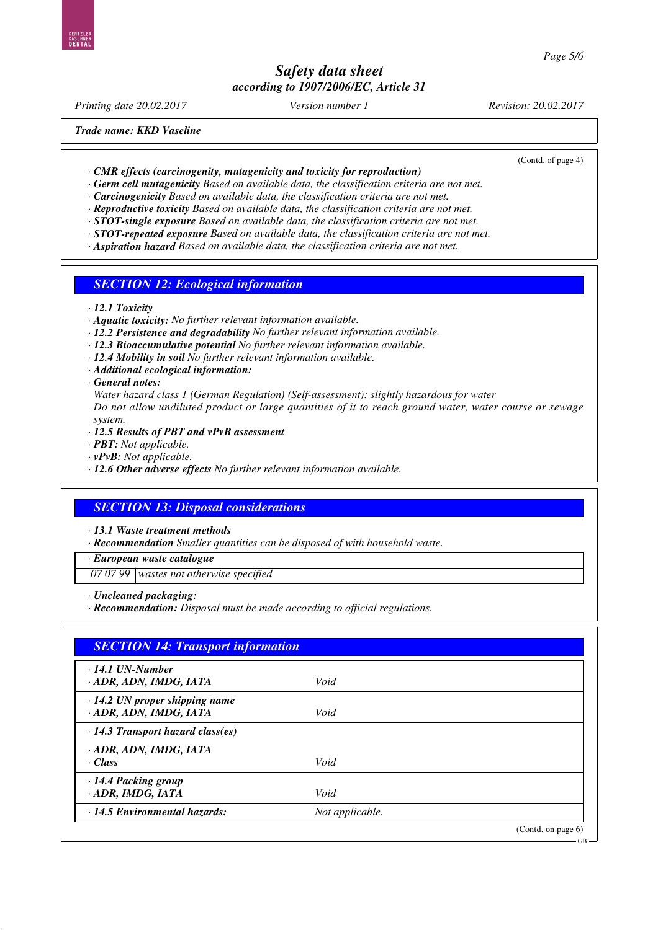*Printing date 20.02.2017 Version number 1 Revision: 20.02.2017*

*Trade name: KKD Vaseline*

(Contd. of page 4)

GB

*· CMR effects (carcinogenity, mutagenicity and toxicity for reproduction)*

*· Germ cell mutagenicity Based on available data, the classification criteria are not met.*

*· Carcinogenicity Based on available data, the classification criteria are not met.*

*· Reproductive toxicity Based on available data, the classification criteria are not met.*

- *· STOT-single exposure Based on available data, the classification criteria are not met.*
- *· STOT-repeated exposure Based on available data, the classification criteria are not met.*
- *· Aspiration hazard Based on available data, the classification criteria are not met.*

### *SECTION 12: Ecological information*

- *· 12.1 Toxicity*
- *· Aquatic toxicity: No further relevant information available.*
- *· 12.2 Persistence and degradability No further relevant information available.*
- *· 12.3 Bioaccumulative potential No further relevant information available.*
- *· 12.4 Mobility in soil No further relevant information available.*
- *· Additional ecological information:*
- *· General notes:*

*Water hazard class 1 (German Regulation) (Self-assessment): slightly hazardous for water Do not allow undiluted product or large quantities of it to reach ground water, water course or sewage system.*

- *· 12.5 Results of PBT and vPvB assessment*
- *· PBT: Not applicable.*
- *· vPvB: Not applicable.*
- *· 12.6 Other adverse effects No further relevant information available.*

### *SECTION 13: Disposal considerations*

*· 13.1 Waste treatment methods*

*· Recommendation Smaller quantities can be disposed of with household waste.*

*· European waste catalogue*

*07 07 99 wastes not otherwise specified*

*· Uncleaned packaging:*

*· Recommendation: Disposal must be made according to official regulations.*

| $\cdot$ 14.1 UN-Number                                         |                 |  |
|----------------------------------------------------------------|-----------------|--|
| · ADR, ADN, IMDG, IATA                                         | Void            |  |
| $\cdot$ 14.2 UN proper shipping name<br>· ADR, ADN, IMDG, IATA | Void            |  |
| $\cdot$ 14.3 Transport hazard class(es)                        |                 |  |
| · ADR, ADN, IMDG, IATA                                         |                 |  |
| $\cdot Class$                                                  | Void            |  |
| · 14.4 Packing group                                           |                 |  |
| $\cdot$ ADR, IMDG, IATA                                        | Void            |  |
| $\cdot$ 14.5 Environmental hazards:                            | Not applicable. |  |